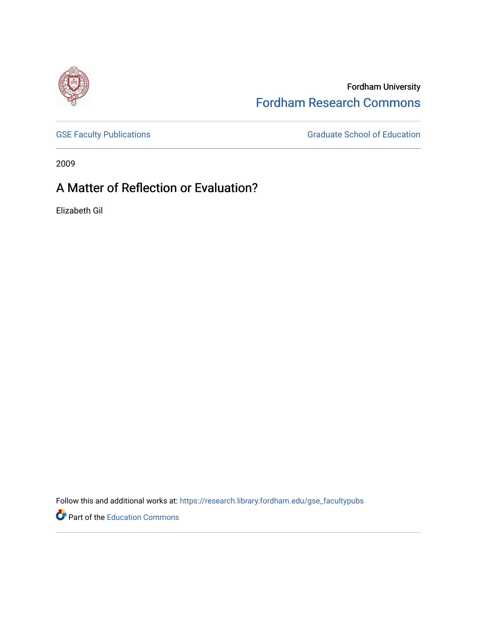

Fordham University [Fordham Research Commons](https://research.library.fordham.edu/) 

[GSE Faculty Publications](https://research.library.fordham.edu/gse_facultypubs) **GRADUATE SCHOOL SECTION** Graduate School of Education

2009

# A Matter of Reflection or Evaluation?

Elizabeth Gil

Follow this and additional works at: [https://research.library.fordham.edu/gse\\_facultypubs](https://research.library.fordham.edu/gse_facultypubs?utm_source=research.library.fordham.edu%2Fgse_facultypubs%2F2&utm_medium=PDF&utm_campaign=PDFCoverPages)

Part of the [Education Commons](http://network.bepress.com/hgg/discipline/784?utm_source=research.library.fordham.edu%2Fgse_facultypubs%2F2&utm_medium=PDF&utm_campaign=PDFCoverPages)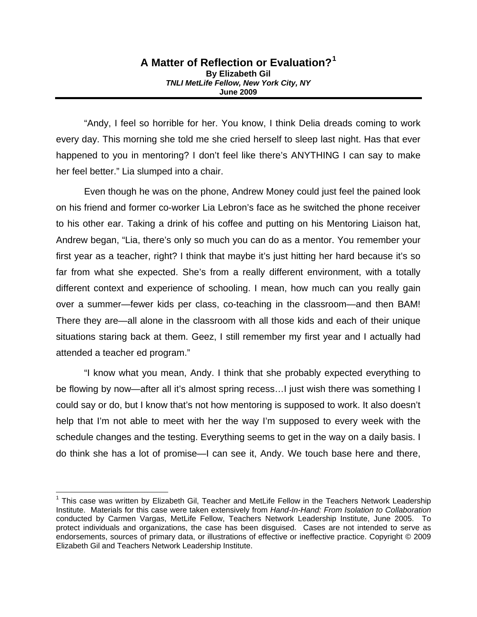### **A Matter of Reflection or Evaluation?[1](#page-1-0) By Elizabeth Gil**  *TNLI MetLife Fellow, New York City, NY*  **June 2009**

"Andy, I feel so horrible for her. You know, I think Delia dreads coming to work every day. This morning she told me she cried herself to sleep last night. Has that ever happened to you in mentoring? I don't feel like there's ANYTHING I can say to make her feel better." Lia slumped into a chair.

Even though he was on the phone, Andrew Money could just feel the pained look on his friend and former co-worker Lia Lebron's face as he switched the phone receiver to his other ear. Taking a drink of his coffee and putting on his Mentoring Liaison hat, Andrew began, "Lia, there's only so much you can do as a mentor. You remember your first year as a teacher, right? I think that maybe it's just hitting her hard because it's so far from what she expected. She's from a really different environment, with a totally different context and experience of schooling. I mean, how much can you really gain over a summer—fewer kids per class, co-teaching in the classroom—and then BAM! There they are—all alone in the classroom with all those kids and each of their unique situations staring back at them. Geez, I still remember my first year and I actually had attended a teacher ed program."

"I know what you mean, Andy. I think that she probably expected everything to be flowing by now—after all it's almost spring recess... I just wish there was something I could say or do, but I know that's not how mentoring is supposed to work. It also doesn't help that I'm not able to meet with her the way I'm supposed to every week with the schedule changes and the testing. Everything seems to get in the way on a daily basis. I do think she has a lot of promise—I can see it, Andy. We touch base here and there,

<span id="page-1-0"></span><sup>&</sup>lt;sup>1</sup> This case was written by Elizabeth Gil, Teacher and MetLife Fellow in the Teachers Network Leadership Institute. Materials for this case were taken extensively from *Hand-In-Hand: From Isolation to Collaboration* conducted by Carmen Vargas, MetLife Fellow, Teachers Network Leadership Institute, June 2005. To protect individuals and organizations, the case has been disguised. Cases are not intended to serve as endorsements, sources of primary data, or illustrations of effective or ineffective practice. Copyright © 2009 Elizabeth Gil and Teachers Network Leadership Institute.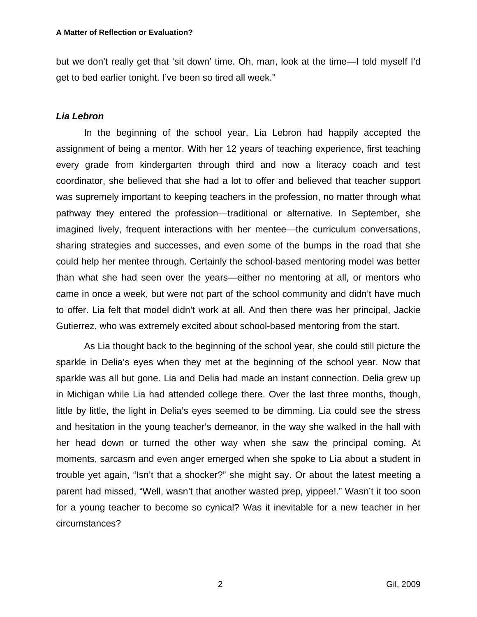but we don't really get that 'sit down' time. Oh, man, look at the time—I told myself I'd get to bed earlier tonight. I've been so tired all week."

# *Lia Lebron*

In the beginning of the school year, Lia Lebron had happily accepted the assignment of being a mentor. With her 12 years of teaching experience, first teaching every grade from kindergarten through third and now a literacy coach and test coordinator, she believed that she had a lot to offer and believed that teacher support was supremely important to keeping teachers in the profession, no matter through what pathway they entered the profession—traditional or alternative. In September, she imagined lively, frequent interactions with her mentee—the curriculum conversations, sharing strategies and successes, and even some of the bumps in the road that she could help her mentee through. Certainly the school-based mentoring model was better than what she had seen over the years—either no mentoring at all, or mentors who came in once a week, but were not part of the school community and didn't have much to offer. Lia felt that model didn't work at all. And then there was her principal, Jackie Gutierrez, who was extremely excited about school-based mentoring from the start.

As Lia thought back to the beginning of the school year, she could still picture the sparkle in Delia's eyes when they met at the beginning of the school year. Now that sparkle was all but gone. Lia and Delia had made an instant connection. Delia grew up in Michigan while Lia had attended college there. Over the last three months, though, little by little, the light in Delia's eyes seemed to be dimming. Lia could see the stress and hesitation in the young teacher's demeanor, in the way she walked in the hall with her head down or turned the other way when she saw the principal coming. At moments, sarcasm and even anger emerged when she spoke to Lia about a student in trouble yet again, "Isn't that a shocker?" she might say. Or about the latest meeting a parent had missed, "Well, wasn't that another wasted prep, yippee!." Wasn't it too soon for a young teacher to become so cynical? Was it inevitable for a new teacher in her circumstances?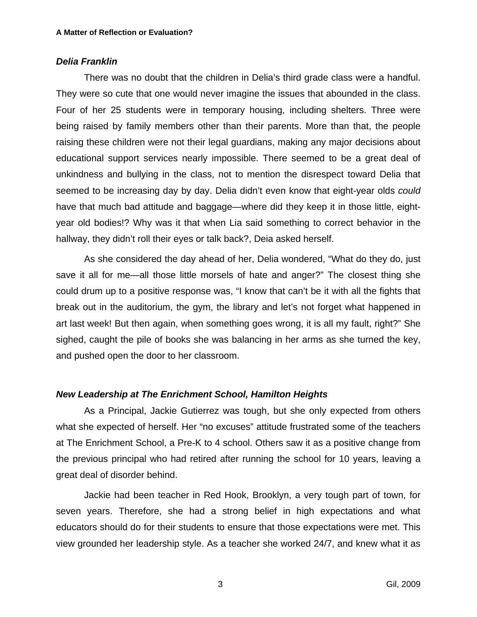## *Delia Franklin*

There was no doubt that the children in Delia's third grade class were a handful. They were so cute that one would never imagine the issues that abounded in the class. Four of her 25 students were in temporary housing, including shelters. Three were being raised by family members other than their parents. More than that, the people raising these children were not their legal guardians, making any major decisions about educational support services nearly impossible. There seemed to be a great deal of unkindness and bullying in the class, not to mention the disrespect toward Delia that seemed to be increasing day by day. Delia didn't even know that eight-year olds *could* have that much bad attitude and baggage—where did they keep it in those little, eightyear old bodies!? Why was it that when Lia said something to correct behavior in the hallway, they didn't roll their eyes or talk back?, Deia asked herself.

As she considered the day ahead of her, Delia wondered, "What do they do, just save it all for me—all those little morsels of hate and anger?" The closest thing she could drum up to a positive response was, "I know that can't be it with all the fights that break out in the auditorium, the gym, the library and let's not forget what happened in art last week! But then again, when something goes wrong, it is all my fault, right?" She sighed, caught the pile of books she was balancing in her arms as she turned the key, and pushed open the door to her classroom.

## *New Leadership at The Enrichment School, Hamilton Heights*

As a Principal, Jackie Gutierrez was tough, but she only expected from others what she expected of herself. Her "no excuses" attitude frustrated some of the teachers at The Enrichment School, a Pre-K to 4 school. Others saw it as a positive change from the previous principal who had retired after running the school for 10 years, leaving a great deal of disorder behind.

Jackie had been teacher in Red Hook, Brooklyn, a very tough part of town, for seven years. Therefore, she had a strong belief in high expectations and what educators should do for their students to ensure that those expectations were met. This view grounded her leadership style. As a teacher she worked 24/7, and knew what it as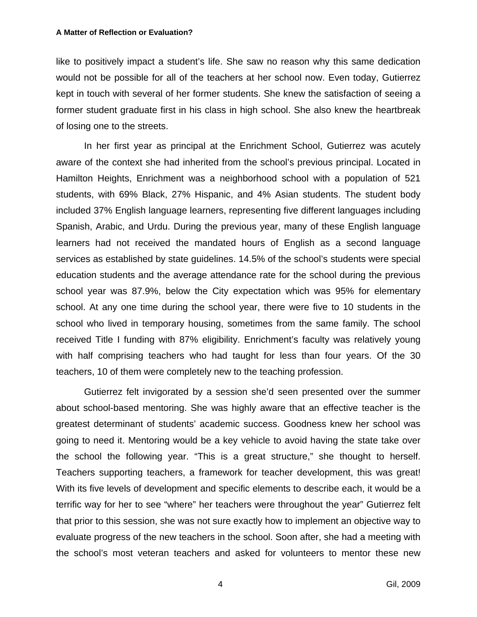#### **A Matter of Reflection or Evaluation?**

like to positively impact a student's life. She saw no reason why this same dedication would not be possible for all of the teachers at her school now. Even today, Gutierrez kept in touch with several of her former students. She knew the satisfaction of seeing a former student graduate first in his class in high school. She also knew the heartbreak of losing one to the streets.

In her first year as principal at the Enrichment School, Gutierrez was acutely aware of the context she had inherited from the school's previous principal. Located in Hamilton Heights, Enrichment was a neighborhood school with a population of 521 students, with 69% Black, 27% Hispanic, and 4% Asian students. The student body included 37% English language learners, representing five different languages including Spanish, Arabic, and Urdu. During the previous year, many of these English language learners had not received the mandated hours of English as a second language services as established by state guidelines. 14.5% of the school's students were special education students and the average attendance rate for the school during the previous school year was 87.9%, below the City expectation which was 95% for elementary school. At any one time during the school year, there were five to 10 students in the school who lived in temporary housing, sometimes from the same family. The school received Title I funding with 87% eligibility. Enrichment's faculty was relatively young with half comprising teachers who had taught for less than four years. Of the 30 teachers, 10 of them were completely new to the teaching profession.

Gutierrez felt invigorated by a session she'd seen presented over the summer about school-based mentoring. She was highly aware that an effective teacher is the greatest determinant of students' academic success. Goodness knew her school was going to need it. Mentoring would be a key vehicle to avoid having the state take over the school the following year. "This is a great structure," she thought to herself. Teachers supporting teachers, a framework for teacher development, this was great! With its five levels of development and specific elements to describe each, it would be a terrific way for her to see "where" her teachers were throughout the year" Gutierrez felt that prior to this session, she was not sure exactly how to implement an objective way to evaluate progress of the new teachers in the school. Soon after, she had a meeting with the school's most veteran teachers and asked for volunteers to mentor these new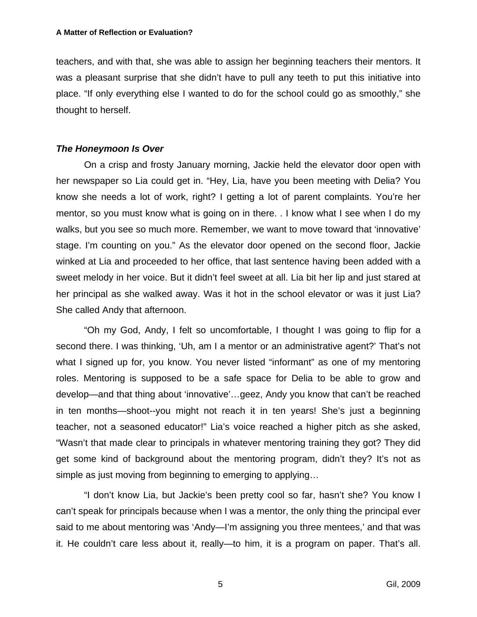teachers, and with that, she was able to assign her beginning teachers their mentors. It was a pleasant surprise that she didn't have to pull any teeth to put this initiative into place. "If only everything else I wanted to do for the school could go as smoothly," she thought to herself.

# *The Honeymoon Is Over*

On a crisp and frosty January morning, Jackie held the elevator door open with her newspaper so Lia could get in. "Hey, Lia, have you been meeting with Delia? You know she needs a lot of work, right? I getting a lot of parent complaints. You're her mentor, so you must know what is going on in there. . I know what I see when I do my walks, but you see so much more. Remember, we want to move toward that 'innovative' stage. I'm counting on you." As the elevator door opened on the second floor, Jackie winked at Lia and proceeded to her office, that last sentence having been added with a sweet melody in her voice. But it didn't feel sweet at all. Lia bit her lip and just stared at her principal as she walked away. Was it hot in the school elevator or was it just Lia? She called Andy that afternoon.

"Oh my God, Andy, I felt so uncomfortable, I thought I was going to flip for a second there. I was thinking, 'Uh, am I a mentor or an administrative agent?' That's not what I signed up for, you know. You never listed "informant" as one of my mentoring roles. Mentoring is supposed to be a safe space for Delia to be able to grow and develop—and that thing about 'innovative'…geez, Andy you know that can't be reached in ten months—shoot--you might not reach it in ten years! She's just a beginning teacher, not a seasoned educator!" Lia's voice reached a higher pitch as she asked, "Wasn't that made clear to principals in whatever mentoring training they got? They did get some kind of background about the mentoring program, didn't they? It's not as simple as just moving from beginning to emerging to applying…

"I don't know Lia, but Jackie's been pretty cool so far, hasn't she? You know I can't speak for principals because when I was a mentor, the only thing the principal ever said to me about mentoring was 'Andy—I'm assigning you three mentees,' and that was it. He couldn't care less about it, really—to him, it is a program on paper. That's all.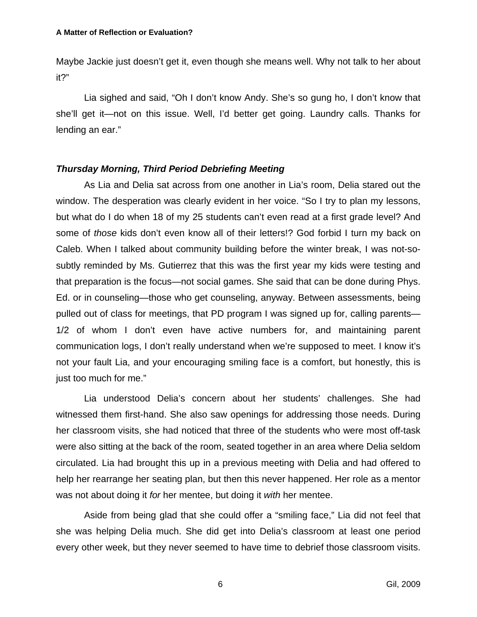Maybe Jackie just doesn't get it, even though she means well. Why not talk to her about it?"

Lia sighed and said, "Oh I don't know Andy. She's so gung ho, I don't know that she'll get it—not on this issue. Well, I'd better get going. Laundry calls. Thanks for lending an ear."

# *Thursday Morning, Third Period Debriefing Meeting*

As Lia and Delia sat across from one another in Lia's room, Delia stared out the window. The desperation was clearly evident in her voice. "So I try to plan my lessons, but what do I do when 18 of my 25 students can't even read at a first grade level? And some of *those* kids don't even know all of their letters!? God forbid I turn my back on Caleb. When I talked about community building before the winter break, I was not-sosubtly reminded by Ms. Gutierrez that this was the first year my kids were testing and that preparation is the focus—not social games. She said that can be done during Phys. Ed. or in counseling—those who get counseling, anyway. Between assessments, being pulled out of class for meetings, that PD program I was signed up for, calling parents— 1/2 of whom I don't even have active numbers for, and maintaining parent communication logs, I don't really understand when we're supposed to meet. I know it's not your fault Lia, and your encouraging smiling face is a comfort, but honestly, this is just too much for me."

Lia understood Delia's concern about her students' challenges. She had witnessed them first-hand. She also saw openings for addressing those needs. During her classroom visits, she had noticed that three of the students who were most off-task were also sitting at the back of the room, seated together in an area where Delia seldom circulated. Lia had brought this up in a previous meeting with Delia and had offered to help her rearrange her seating plan, but then this never happened. Her role as a mentor was not about doing it *for* her mentee, but doing it *with* her mentee.

Aside from being glad that she could offer a "smiling face," Lia did not feel that she was helping Delia much. She did get into Delia's classroom at least one period every other week, but they never seemed to have time to debrief those classroom visits.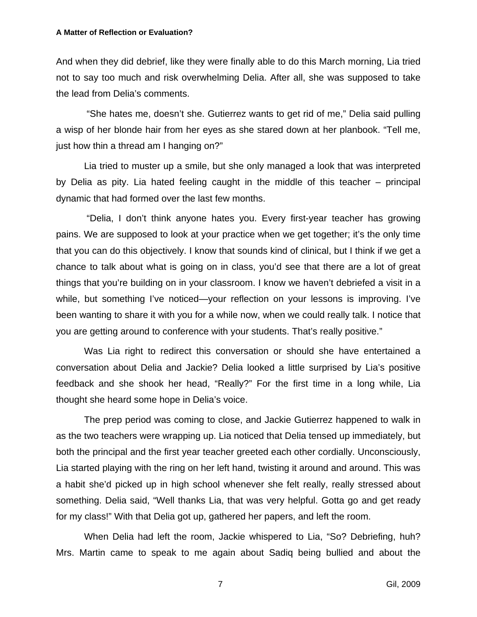#### **A Matter of Reflection or Evaluation?**

And when they did debrief, like they were finally able to do this March morning, Lia tried not to say too much and risk overwhelming Delia. After all, she was supposed to take the lead from Delia's comments.

 "She hates me, doesn't she. Gutierrez wants to get rid of me," Delia said pulling a wisp of her blonde hair from her eyes as she stared down at her planbook. "Tell me, just how thin a thread am I hanging on?"

Lia tried to muster up a smile, but she only managed a look that was interpreted by Delia as pity. Lia hated feeling caught in the middle of this teacher – principal dynamic that had formed over the last few months.

 "Delia, I don't think anyone hates you. Every first-year teacher has growing pains. We are supposed to look at your practice when we get together; it's the only time that you can do this objectively. I know that sounds kind of clinical, but I think if we get a chance to talk about what is going on in class, you'd see that there are a lot of great things that you're building on in your classroom. I know we haven't debriefed a visit in a while, but something I've noticed—your reflection on your lessons is improving. I've been wanting to share it with you for a while now, when we could really talk. I notice that you are getting around to conference with your students. That's really positive."

Was Lia right to redirect this conversation or should she have entertained a conversation about Delia and Jackie? Delia looked a little surprised by Lia's positive feedback and she shook her head, "Really?" For the first time in a long while, Lia thought she heard some hope in Delia's voice.

The prep period was coming to close, and Jackie Gutierrez happened to walk in as the two teachers were wrapping up. Lia noticed that Delia tensed up immediately, but both the principal and the first year teacher greeted each other cordially. Unconsciously, Lia started playing with the ring on her left hand, twisting it around and around. This was a habit she'd picked up in high school whenever she felt really, really stressed about something. Delia said, "Well thanks Lia, that was very helpful. Gotta go and get ready for my class!" With that Delia got up, gathered her papers, and left the room.

When Delia had left the room, Jackie whispered to Lia, "So? Debriefing, huh? Mrs. Martin came to speak to me again about Sadiq being bullied and about the